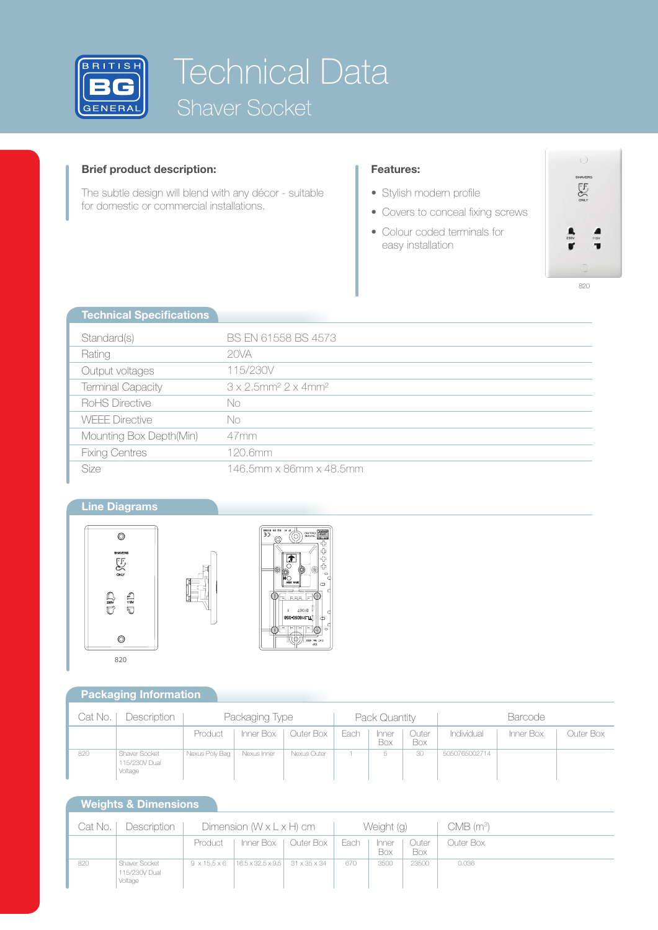

# Technical Data Shaver Socket

## **Brief product description:**

The subtle design will blend with any décor - suitable for domestic or commercial installations.

### **Features:**

- Stylish modern profile
- Covers to conceal fixing screws
- Colour coded terminals for easy installation



| <b>Technical Specifications</b> |                                                             |
|---------------------------------|-------------------------------------------------------------|
| Standard(s)                     | BS EN 61558 BS 4573                                         |
| Rating                          | 20VA                                                        |
| Output voltages                 | 115/230V                                                    |
| <b>Terminal Capacity</b>        | $3 \times 2.5$ mm <sup>2</sup> $2 \times 4$ mm <sup>2</sup> |
| RoHS Directive                  | No                                                          |
| <b>WEEE Directive</b>           | No                                                          |
| Mounting Box Depth(Min)         | 47mm                                                        |
| <b>Fixing Centres</b>           | 120.6mm                                                     |
| <b>Size</b>                     | 146.5mm x 86mm x 48.5mm                                     |

## **Line Diagrams**





## **Packaging Information**

| Cat No. | Description                               | Packaging Type |             |                       | Pack Quantity |                     |              | <b>Barcode</b> |           |           |
|---------|-------------------------------------------|----------------|-------------|-----------------------|---------------|---------------------|--------------|----------------|-----------|-----------|
|         |                                           | Product        |             | Inner Box   Outer Box | Each          | Inner<br><b>Box</b> | Outer<br>Box | Individual     | Inner Box | Outer Box |
| 820     | Shaver Socket<br>115/230V Dual<br>Voltage | Nexus Poly Bag | Nexus Inner | Nexus Outer           |               | b                   | 30           | 5050765002714  |           |           |

## **Weights & Dimensions**

| Cat No. | Description                               | Dimension $(W \times L \times H)$ cm |                                            |                       | Weight (g) |                     |              | CMB (m <sup>3</sup> ). |
|---------|-------------------------------------------|--------------------------------------|--------------------------------------------|-----------------------|------------|---------------------|--------------|------------------------|
|         |                                           | Product                              |                                            | Inner Box   Outer Box | Each       | Inner<br><b>Box</b> | Outer<br>Box | Outer Box              |
| 820     | Shaver Socket<br>115/230V Dual<br>Voltage | $9 \times 15.5 \times 6$             | $16.5 \times 32.5 \times 9.5$ 31 x 35 x 34 |                       | 67C        | 3500                | 23500        | 0.036                  |